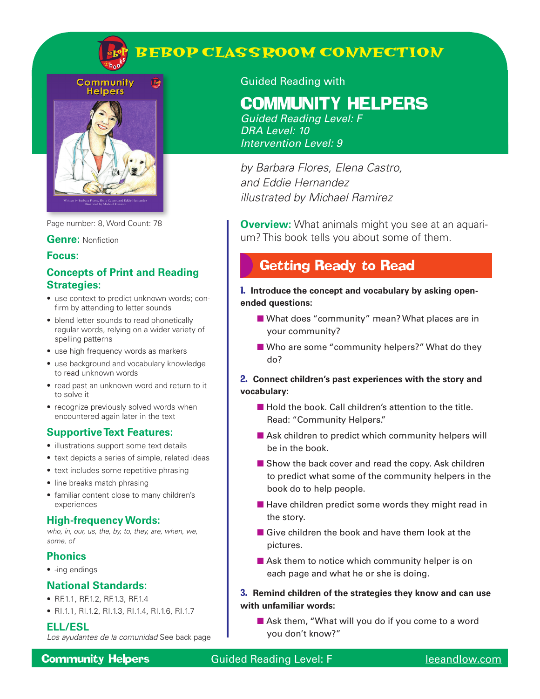

**Community REA Helpers** 



Page number: 8, Word Count: 78

#### **Genre:** Nonfiction

#### **Focus:**

## **Concepts of Print and Reading Strategies:**

- use context to predict unknown words; confirm by attending to letter sounds
- blend letter sounds to read phonetically regular words, relying on a wider variety of spelling patterns
- use high frequency words as markers
- use background and vocabulary knowledge to read unknown words
- read past an unknown word and return to it to solve it
- recognize previously solved words when encountered again later in the text

## **Supportive Text Features:**

- illustrations support some text details
- text depicts a series of simple, related ideas
- text includes some repetitive phrasing
- line breaks match phrasing
- familiar content close to many children's experiences

### **High-frequency Words:**

*who, in, our, us, the, by, to, they, are, when, we, some, of* 

### **Phonics**

• -ing endings

### **National Standards:**

- RF.1.1, RF.1.2, RF.1.3, RF.1.4
- RI.1.1, RI.1.2, RI.1.3, RI.1.4, RI.1.6, RI.1.7

#### **ELL/ESL**

*Los ayudantes de la comunidad* See back page

### Guided Reading with

# Community Helpers

*Guided Reading Level: F DRA Level: 10 Intervention Level: 9*

*by Barbara Flores, Elena Castro, and Eddie Hernandez illustrated by Michael Ramirez*

**Overview:** What animals might you see at an aquarium? This book tells you about some of them.

# Getting Ready to Read

1. **Introduce the concept and vocabulary by asking openended questions:**

- What does "community" mean? What places are in your community?
- Who are some "community helpers?" What do they do?

### 2. **Connect children's past experiences with the story and vocabulary:**

- Hold the book. Call children's attention to the title. Read: "Community Helpers."
- Ask children to predict which community helpers will be in the book.
- Show the back cover and read the copy. Ask children to predict what some of the community helpers in the book do to help people.
- Have children predict some words they might read in the story.
- Give children the book and have them look at the pictures.
- Ask them to notice which community helper is on each page and what he or she is doing.

### 3. **Remind children of the strategies they know and can use with unfamiliar words:**

■ Ask them, "What will you do if you come to a word you don't know?"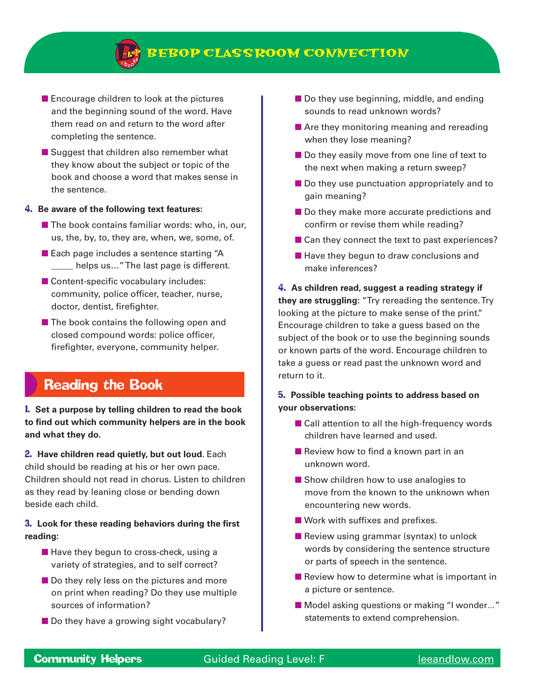

- Encourage children to look at the pictures and the beginning sound of the word. Have them read on and return to the word after completing the sentence.
- Suggest that children also remember what they know about the subject or topic of the book and choose a word that makes sense in the sentence.

#### 4. **Be aware of the following text features:**

- $\blacksquare$  The book contains familiar words: who, in, our, us, the, by, to, they are, when, we, some, of.
- Each page includes a sentence starting "A **\_\_\_\_\_** helps us..." The last page is different.
- Content-specific vocabulary includes: community, police officer, teacher, nurse, doctor, dentist, firefighter.
- The book contains the following open and closed compound words: police officer, firefighter, everyone, community helper.

# Reading the Book

### 1. **Set a purpose by telling children to read the book to find out which community helpers are in the book and what they do.**

**2. Have children read quietly, but out loud.** Each child should be reading at his or her own pace. Children should not read in chorus. Listen to children as they read by leaning close or bending down beside each child.

### 3. **Look for these reading behaviors during the first reading:**

- Have they begun to cross-check, using a variety of strategies, and to self correct?
- Do they rely less on the pictures and more on print when reading? Do they use multiple sources of information?
- Do they have a growing sight vocabulary?
- Do they use beginning, middle, and ending sounds to read unknown words?
- Are they monitoring meaning and rereading when they lose meaning?
- Do they easily move from one line of text to the next when making a return sweep?
- Do they use punctuation appropriately and to gain meaning?
- Do they make more accurate predictions and confirm or revise them while reading?
- Can they connect the text to past experiences?
- Have they begun to draw conclusions and make inferences?

4. **As children read, suggest a reading strategy if they are struggling:** "Try rereading the sentence. Try looking at the picture to make sense of the print." Encourage children to take a guess based on the subject of the book or to use the beginning sounds or known parts of the word. Encourage children to take a guess or read past the unknown word and return to it.

#### 5. **Possible teaching points to address based on your observations:**

- Call attention to all the high-frequency words children have learned and used.
- Review how to find a known part in an unknown word.
- Show children how to use analogies to move from the known to the unknown when encountering new words.
- Work with suffixes and prefixes.
- Review using grammar (syntax) to unlock words by considering the sentence structure or parts of speech in the sentence.
- Review how to determine what is important in a picture or sentence.
- Model asking questions or making "I wonder..." statements to extend comprehension.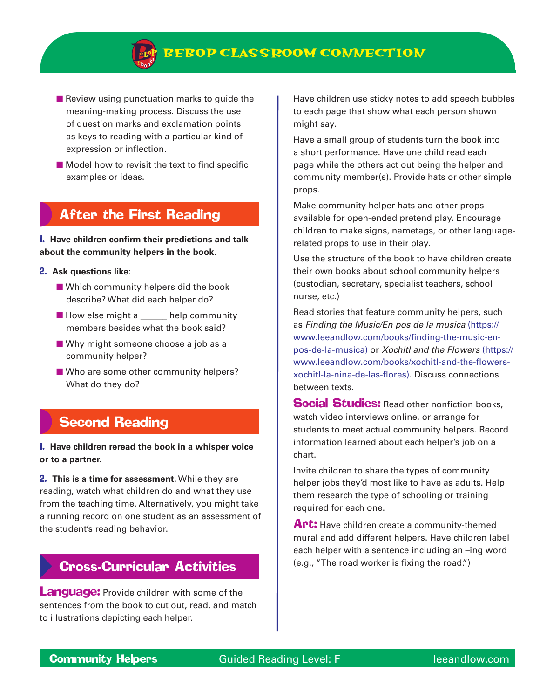- Review using punctuation marks to guide the meaning-making process. Discuss the use of question marks and exclamation points as keys to reading with a particular kind of expression or inflection.
- Model how to revisit the text to find specific examples or ideas.

# After the First Reading

1. **Have children confirm their predictions and talk about the community helpers in the book.**

#### 2. **Ask questions like:**

- Which community helpers did the book describe? What did each helper do?
- How else might a \_\_\_\_\_ help community members besides what the book said?
- Why might someone choose a job as a community helper?
- Who are some other community helpers? What do they do?

# Second Reading

### 1. **Have children reread the book in a whisper voice or to a partner.**

2. **This is a time for assessment.** While they are reading, watch what children do and what they use from the teaching time. Alternatively, you might take a running record on one student as an assessment of the student's reading behavior.

# Cross-Curricular Activities

**Language:** Provide children with some of the sentences from the book to cut out, read, and match to illustrations depicting each helper.

Have children use sticky notes to add speech bubbles to each page that show what each person shown might say.

Have a small group of students turn the book into a short performance. Have one child read each page while the others act out being the helper and community member(s). Provide hats or other simple props.

Make community helper hats and other props available for open-ended pretend play. Encourage children to make signs, nametags, or other languagerelated props to use in their play.

Use the structure of the book to have children create their own books about school community helpers (custodian, secretary, specialist teachers, school nurse, etc.)

Read stories that feature community helpers, such as *Finding the Music/En pos de la musica* (https:// www.leeandlow.com/books/finding-the-music-enpos-de-la-musica) or *Xochitl and the Flowers* (https:// www.leeandlow.com/books/xochitl-and-the-flowersxochitl-la-nina-de-las-flores). Discuss connections between texts.

**Social Studies:** Read other nonfiction books, watch video interviews online, or arrange for students to meet actual community helpers. Record information learned about each helper's job on a chart.

Invite children to share the types of community helper jobs they'd most like to have as adults. Help them research the type of schooling or training required for each one.

**Art:** Have children create a community-themed mural and add different helpers. Have children label each helper with a sentence including an –ing word (e.g., "The road worker is fixing the road.")